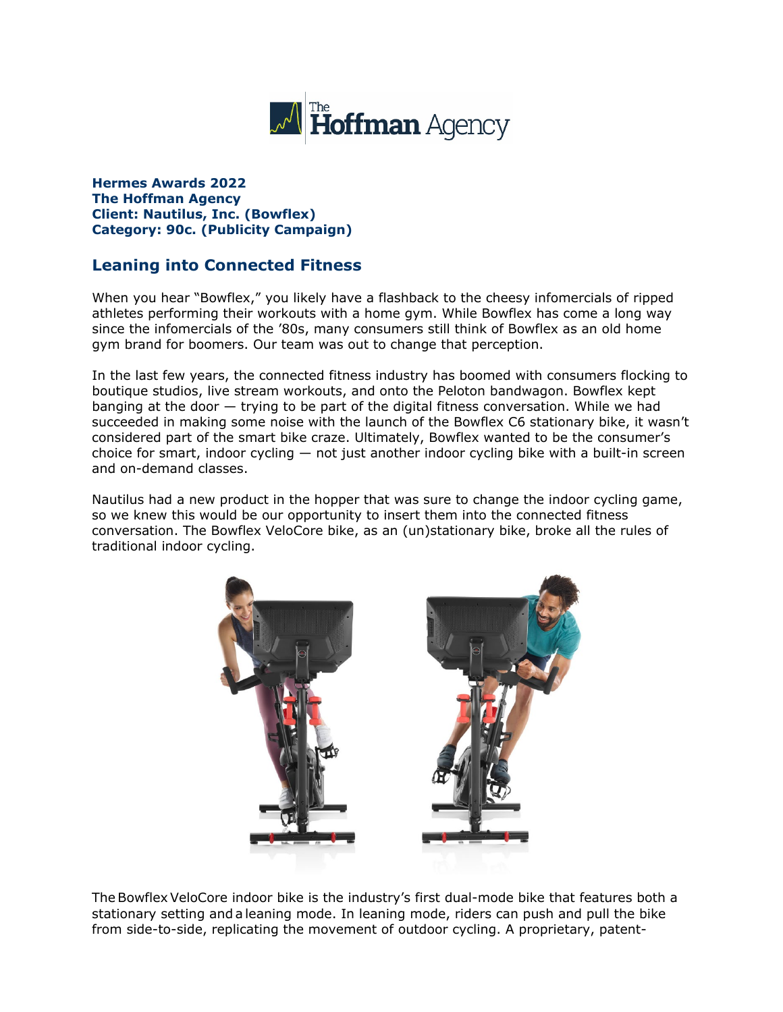

**Hermes Awards 2022 The Hoffman Agency Client: Nautilus, Inc. (Bowflex) Category: 90c. (Publicity Campaign)**

## **Leaning into Connected Fitness**

When you hear "Bowflex," you likely have a flashback to the cheesy infomercials of ripped athletes performing their workouts with a home gym. While Bowflex has come a long way since the infomercials of the '80s, many consumers still think of Bowflex as an old home gym brand for boomers. Our team was out to change that perception.

In the last few years, the connected fitness industry has boomed with consumers flocking to boutique studios, live stream workouts, and onto the Peloton bandwagon. Bowflex kept banging at the door — trying to be part of the digital fitness conversation. While we had succeeded in making some noise with the launch of the Bowflex C6 stationary bike, it wasn't considered part of the smart bike craze. Ultimately, Bowflex wanted to be the consumer's choice for smart, indoor cycling — not just another indoor cycling bike with a built-in screen and on-demand classes.

Nautilus had a new product in the hopper that was sure to change the indoor cycling game, so we knew this would be our opportunity to insert them into the connected fitness conversation. The Bowflex VeloCore bike, as an (un)stationary bike, broke all the rules of traditional indoor cycling.



The Bowflex VeloCore indoor bike is the industry's first dual-mode bike that features both a stationary setting and a leaning mode. In leaning mode, riders can push and pull the bike from side-to-side, replicating the movement of outdoor cycling. A proprietary, patent-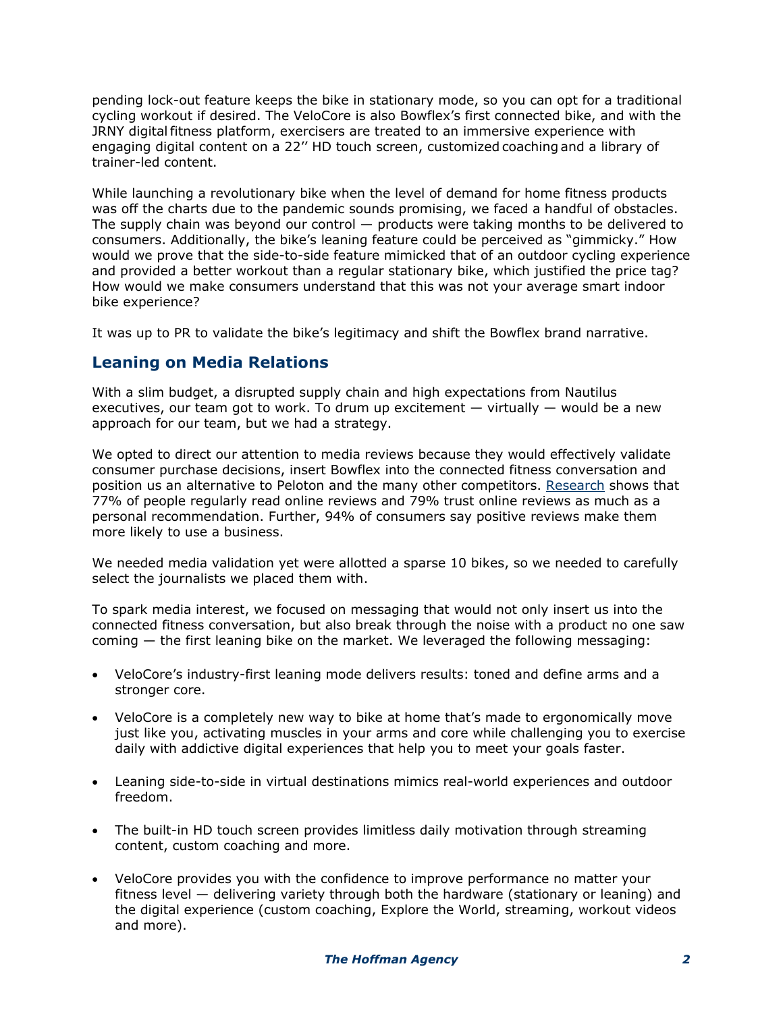pending lock-out feature keeps the bike in stationary mode, so you can opt for a traditional cycling workout if desired. The VeloCore is also Bowflex's first connected bike, and with the JRNY digital fitness platform, exercisers are treated to an immersive experience with engaging digital content on a 22'' HD touch screen, customized coaching and a library of trainer-led content.

While launching a revolutionary bike when the level of demand for home fitness products was off the charts due to the pandemic sounds promising, we faced a handful of obstacles. The supply chain was beyond our control  $-$  products were taking months to be delivered to consumers. Additionally, the bike's leaning feature could be perceived as "gimmicky." How would we prove that the side-to-side feature mimicked that of an outdoor cycling experience and provided a better workout than a regular stationary bike, which justified the price tag? How would we make consumers understand that this was not your average smart indoor bike experience?

It was up to PR to validate the bike's legitimacy and shift the Bowflex brand narrative.

### **Leaning on Media Relations**

With a slim budget, a disrupted supply chain and high expectations from Nautilus executives, our team got to work. To drum up excitement  $-$  virtually  $-$  would be a new approach for our team, but we had a strategy.

We opted to direct our attention to media reviews because they would effectively validate consumer purchase decisions, insert Bowflex into the connected fitness conversation and position us an alternative to Peloton and the many other competitors. [Research](https://www.brightlocal.com/research/local-consumer-review-survey/?SSAID=314743&SSCID=a1k5_cq8or) shows that 77% of people regularly read online reviews and 79% trust online reviews as much as a personal recommendation. Further, 94% of consumers say positive reviews make them more likely to use a business.

We needed media validation yet were allotted a sparse 10 bikes, so we needed to carefully select the journalists we placed them with.

To spark media interest, we focused on messaging that would not only insert us into the connected fitness conversation, but also break through the noise with a product no one saw coming — the first leaning bike on the market. We leveraged the following messaging:

- VeloCore's industry-first leaning mode delivers results: toned and define arms and a stronger core.
- VeloCore is a completely new way to bike at home that's made to ergonomically move just like you, activating muscles in your arms and core while challenging you to exercise daily with addictive digital experiences that help you to meet your goals faster.
- Leaning side-to-side in virtual destinations mimics real-world experiences and outdoor freedom.
- The built-in HD touch screen provides limitless daily motivation through streaming content, custom coaching and more.
- VeloCore provides you with the confidence to improve performance no matter your fitness level — delivering variety through both the hardware (stationary or leaning) and the digital experience (custom coaching, Explore the World, streaming, workout videos and more).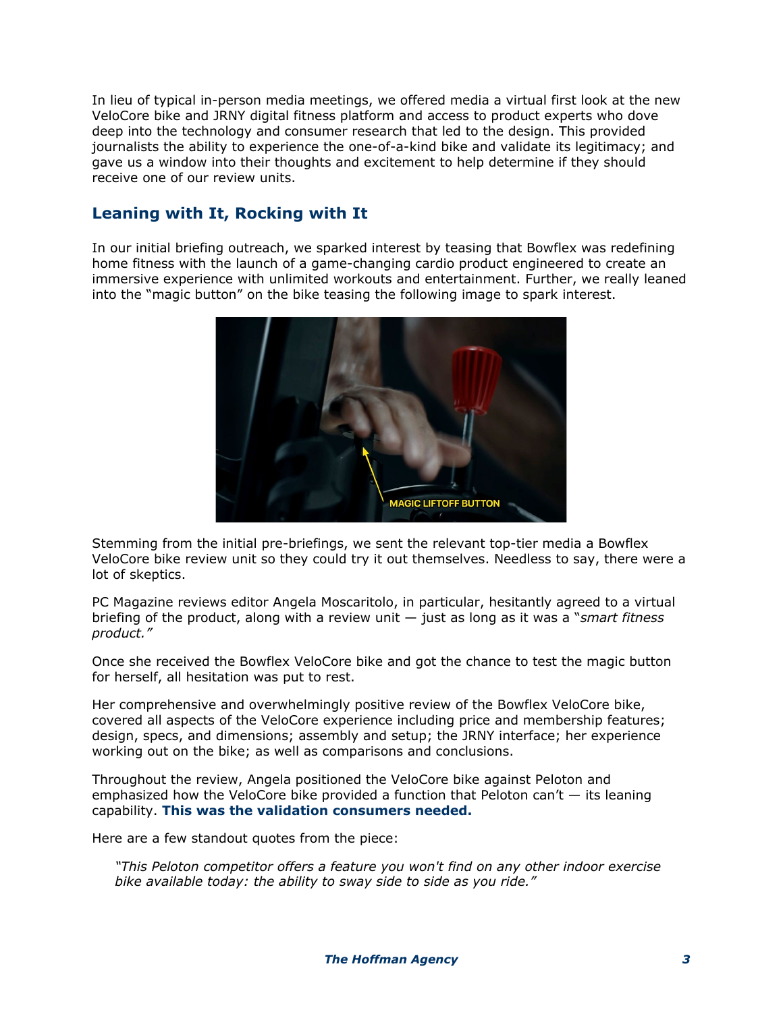In lieu of typical in-person media meetings, we offered media a virtual first look at the new VeloCore bike and JRNY digital fitness platform and access to product experts who dove deep into the technology and consumer research that led to the design. This provided journalists the ability to experience the one-of-a-kind bike and validate its legitimacy; and gave us a window into their thoughts and excitement to help determine if they should receive one of our review units.

# **Leaning with It, Rocking with It**

In our initial briefing outreach, we sparked interest by teasing that Bowflex was redefining home fitness with the launch of a game-changing cardio product engineered to create an immersive experience with unlimited workouts and entertainment. Further, we really leaned into the "magic button" on the bike teasing the following image to spark interest.



Stemming from the initial pre-briefings, we sent the relevant top-tier media a Bowflex VeloCore bike review unit so they could try it out themselves. Needless to say, there were a lot of skeptics.

PC Magazine reviews editor Angela Moscaritolo, in particular, hesitantly agreed to a virtual briefing of the product, along with a review unit — just as long as it was a "*smart fitness product."*

Once she received the Bowflex VeloCore bike and got the chance to test the magic button for herself, all hesitation was put to rest.

Her comprehensive and overwhelmingly positive review of the Bowflex VeloCore bike, covered all aspects of the VeloCore experience including price and membership features; design, specs, and dimensions; assembly and setup; the JRNY interface; her experience working out on the bike; as well as comparisons and conclusions.

Throughout the review, Angela positioned the VeloCore bike against Peloton and emphasized how the VeloCore bike provided a function that Peloton can't  $-$  its leaning capability. **This was the validation consumers needed.**

Here are a few standout quotes from the piece:

*"This Peloton competitor offers a feature you won't find on any other indoor exercise bike available today: the ability to sway side to side as you ride."*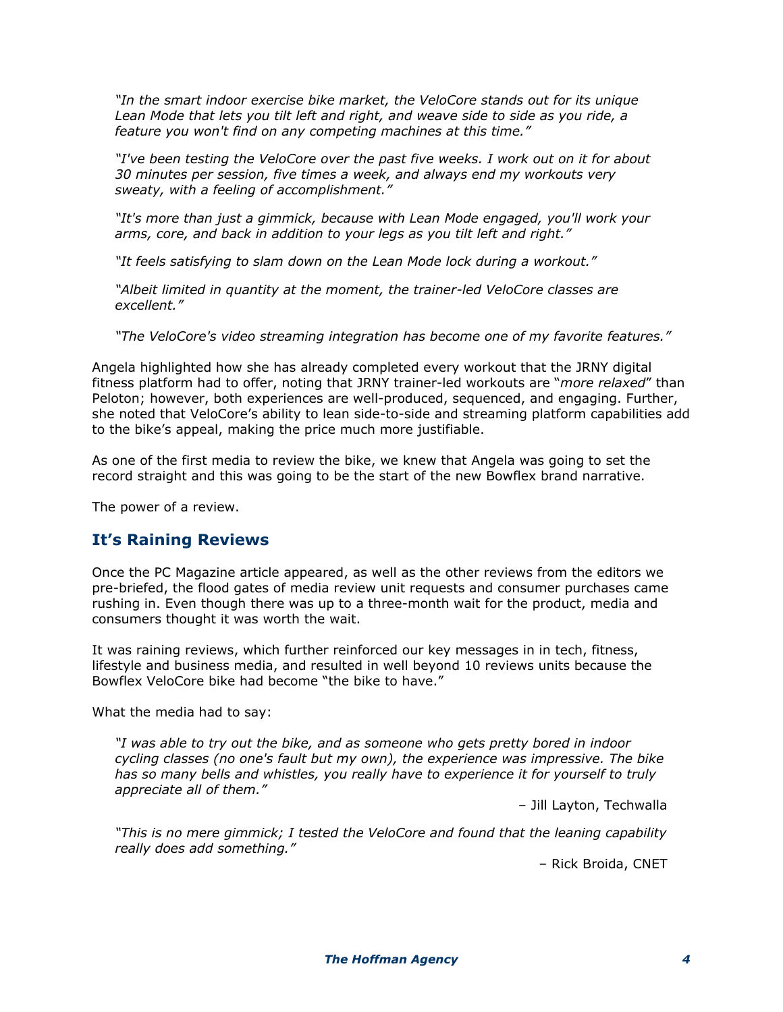*"In the smart indoor exercise bike market, the VeloCore stands out for its unique Lean Mode that lets you tilt left and right, and weave side to side as you ride, a feature you won't find on any competing machines at this time."*

*"I've been testing the VeloCore over the past five weeks. I work out on it for about 30 minutes per session, five times a week, and always end my workouts very sweaty, with a feeling of accomplishment."*

*"It's more than just a gimmick, because with Lean Mode engaged, you'll work your arms, core, and back in addition to your legs as you tilt left and right."*

*"It feels satisfying to slam down on the Lean Mode lock during a workout."*

*"Albeit limited in quantity at the moment, the trainer-led VeloCore classes are excellent."*

*"The VeloCore's video streaming integration has become one of my favorite features."*

Angela highlighted how she has already completed every workout that the JRNY digital fitness platform had to offer, noting that JRNY trainer-led workouts are "*more relaxed*" than Peloton; however, both experiences are well-produced, sequenced, and engaging. Further, she noted that VeloCore's ability to lean side-to-side and streaming platform capabilities add to the bike's appeal, making the price much more justifiable.

As one of the first media to review the bike, we knew that Angela was going to set the record straight and this was going to be the start of the new Bowflex brand narrative.

The power of a review.

#### **It's Raining Reviews**

Once the PC Magazine article appeared, as well as the other reviews from the editors we pre-briefed, the flood gates of media review unit requests and consumer purchases came rushing in. Even though there was up to a three-month wait for the product, media and consumers thought it was worth the wait.

It was raining reviews, which further reinforced our key messages in in tech, fitness, lifestyle and business media, and resulted in well beyond 10 reviews units because the Bowflex VeloCore bike had become "the bike to have."

What the media had to say:

*"I was able to try out the bike, and as someone who gets pretty bored in indoor cycling classes (no one's fault but my own), the experience was impressive. The bike has so many bells and whistles, you really have to experience it for yourself to truly appreciate all of them."*

– Jill Layton, Techwalla

*"This is no mere gimmick; I tested the VeloCore and found that the leaning capability really does add something."*

– Rick Broida, CNET